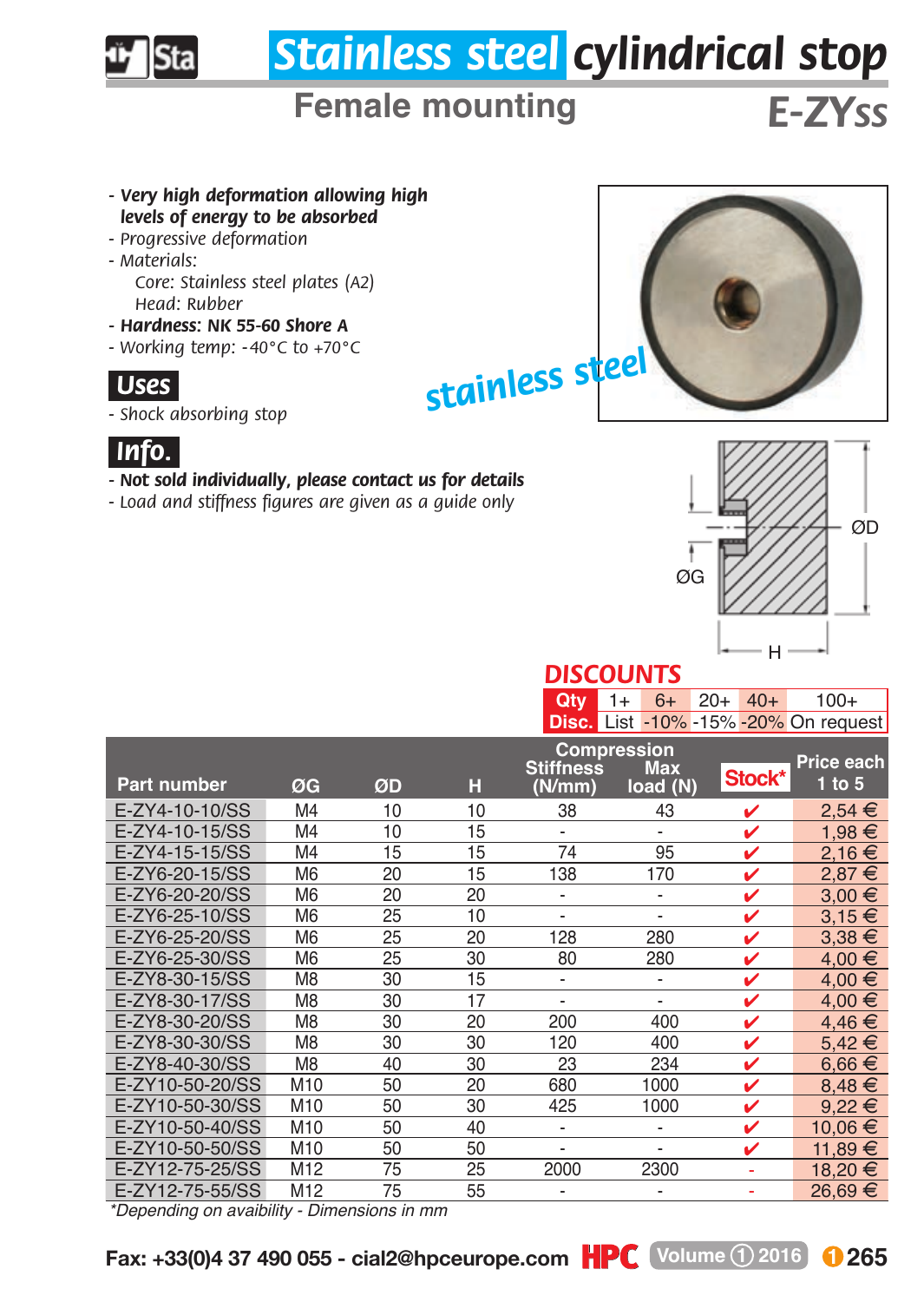

*- Shock absorbing stop*



*- Not sold individually, please contact us for details*

*- Load and stiffness figures are given as a guide only*



## *DISCOUNTS*

| $Qty = 1 + 6 + 20 + 40 +$ |  |  | $100+$                                      |  |  |
|---------------------------|--|--|---------------------------------------------|--|--|
|                           |  |  | <b>Disc.</b> List -10% -15% -20% On request |  |  |

|                                                                                                                                                                                                                                                                                                                                                                                                                                                 |                 |                                                  |    | Compression<br><b>Stiffness</b><br><b>Max</b> |                              |        | Price each |
|-------------------------------------------------------------------------------------------------------------------------------------------------------------------------------------------------------------------------------------------------------------------------------------------------------------------------------------------------------------------------------------------------------------------------------------------------|-----------------|--------------------------------------------------|----|-----------------------------------------------|------------------------------|--------|------------|
| <b>Part number</b>                                                                                                                                                                                                                                                                                                                                                                                                                              | ØG              | ØD                                               | н  | (N/mm)                                        | load (N)                     | Stock* | 1 to 5     |
| E-ZY4-10-10/SS                                                                                                                                                                                                                                                                                                                                                                                                                                  | M <sub>4</sub>  | 10                                               | 10 | 38                                            | 43                           | v      | $2.54 \in$ |
| E-ZY4-10-15/SS                                                                                                                                                                                                                                                                                                                                                                                                                                  | M <sub>4</sub>  | 10                                               | 15 | $\qquad \qquad \blacksquare$                  | $\qquad \qquad \blacksquare$ | ✓      | 1,98 €     |
| E-ZY4-15-15/SS                                                                                                                                                                                                                                                                                                                                                                                                                                  | M4              | 15                                               | 15 | 74                                            | 95                           | ✓      | 2,16€      |
| E-ZY6-20-15/SS                                                                                                                                                                                                                                                                                                                                                                                                                                  | M <sub>6</sub>  | 20                                               | 15 | 138                                           | 170                          | v      | 2.87 €     |
| E-ZY6-20-20/SS                                                                                                                                                                                                                                                                                                                                                                                                                                  | M <sub>6</sub>  | 20                                               | 20 | $\qquad \qquad \blacksquare$                  | $\overline{\phantom{a}}$     | ✓      | $3,00 \in$ |
| E-ZY6-25-10/SS                                                                                                                                                                                                                                                                                                                                                                                                                                  | M <sub>6</sub>  | 25                                               | 10 | $\overline{\phantom{a}}$                      | $\overline{\phantom{0}}$     | ✓      | $3,15 \in$ |
| E-ZY6-25-20/SS                                                                                                                                                                                                                                                                                                                                                                                                                                  | M <sub>6</sub>  | 25                                               | 20 | 128                                           | 280                          | v      | $3.38 \in$ |
| E-ZY6-25-30/SS                                                                                                                                                                                                                                                                                                                                                                                                                                  | M <sub>6</sub>  | 25                                               | 30 | 80                                            | 280                          | ✓      | 4.00 €     |
| E-ZY8-30-15/SS                                                                                                                                                                                                                                                                                                                                                                                                                                  | M <sub>8</sub>  | 30                                               | 15 | $\overline{\phantom{a}}$                      | $\overline{\phantom{0}}$     | ✓      | 4.00 €     |
| E-ZY8-30-17/SS                                                                                                                                                                                                                                                                                                                                                                                                                                  | M <sub>8</sub>  | 30                                               | 17 | $\overline{\phantom{a}}$                      | $\overline{\phantom{0}}$     | ✓      | 4,00 €     |
| E-ZY8-30-20/SS                                                                                                                                                                                                                                                                                                                                                                                                                                  | M <sub>8</sub>  | 30                                               | 20 | 200                                           | 400                          | ✓      | 4,46€      |
| E-ZY8-30-30/SS                                                                                                                                                                                                                                                                                                                                                                                                                                  | M <sub>8</sub>  | 30                                               | 30 | 120                                           | 400                          | ✓      | 5.42€      |
| E-ZY8-40-30/SS                                                                                                                                                                                                                                                                                                                                                                                                                                  | M <sub>8</sub>  | 40                                               | 30 | 23                                            | 234                          | ✓      | $6.66 \in$ |
| E-ZY10-50-20/SS                                                                                                                                                                                                                                                                                                                                                                                                                                 | M <sub>10</sub> | 50                                               | 20 | 680                                           | 1000                         | v      | $8,48 \in$ |
| E-ZY10-50-30/SS                                                                                                                                                                                                                                                                                                                                                                                                                                 | M <sub>10</sub> | 50                                               | 30 | 425                                           | 1000                         | v      | $9.22 \in$ |
| E-ZY10-50-40/SS                                                                                                                                                                                                                                                                                                                                                                                                                                 | M10             | 50                                               | 40 | $\overline{\phantom{a}}$                      | $\overline{\phantom{a}}$     | ✓      | 10,06 €    |
| E-ZY10-50-50/SS                                                                                                                                                                                                                                                                                                                                                                                                                                 | M10             | 50                                               | 50 | $\overline{\phantom{a}}$                      | $\overline{\phantom{0}}$     | ✓      | 11,89€     |
| E-ZY12-75-25/SS                                                                                                                                                                                                                                                                                                                                                                                                                                 | M <sub>12</sub> | 75                                               | 25 | 2000                                          | 2300                         |        | €<br>18.20 |
| E-ZY12-75-55/SS<br>$\mathbf{r} = \mathbf{r} = \mathbf{r} = \mathbf{r} = \mathbf{r} = \mathbf{r} = \mathbf{r} = \mathbf{r} = \mathbf{r} = \mathbf{r} = \mathbf{r} = \mathbf{r} = \mathbf{r} = \mathbf{r} = \mathbf{r} = \mathbf{r} = \mathbf{r} = \mathbf{r} = \mathbf{r} = \mathbf{r} = \mathbf{r} = \mathbf{r} = \mathbf{r} = \mathbf{r} = \mathbf{r} = \mathbf{r} = \mathbf{r} = \mathbf{r} = \mathbf{r} = \mathbf{r} = \mathbf{r} = \mathbf$ | M <sub>12</sub> | 75<br>$\mathbb{R}^n$ . The set of $\mathbb{R}^n$ | 55 | $\overline{\phantom{a}}$                      | $\overline{\phantom{a}}$     |        | 26.69 €    |

*\*Depending on avaibility - Dimensions in mm*